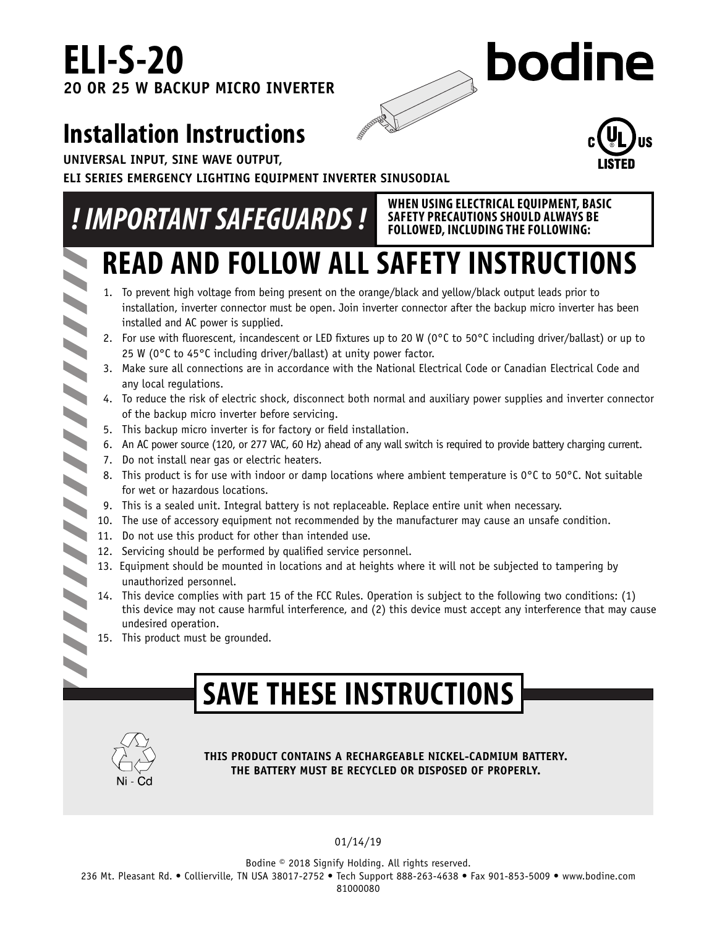# **ELI-S-20 20 OR 25 W BACKUP MICRO INVERTER**

# bodine

# **Installation Instructions**

**UNIVERSAL INPUT, SINE WAVE OUTPUT,** 

**NN** 

 $\blacktriangleleft$  $\blacktriangleright$ 

**ELI SERIES EMERGENCY LIGHTING EQUIPMENT INVERTER SINUSODIAL**

# *!* **IMPORTANT SAFEGUARDS !** SAFETY PRECAUTIONS SHOULD ALWAYS BE



**SAFETY PRECAUTIONS SHOULD ALWAYS BE FOLLOWED, INCLUDING THE FOLLOWING:**

# **READ AND FOLLOW ALL SAFETY INSTRUCTIONS**

- 1. To prevent high voltage from being present on the orange/black and yellow/black output leads prior to installation, inverter connector must be open. Join inverter connector after the backup micro inverter has been installed and AC power is supplied.
- 2. For use with fluorescent, incandescent or LED fixtures up to 20 W (0°C to 50°C including driver/ballast) or up to 25 W (0°C to 45°C including driver/ballast) at unity power factor.
- 3. Make sure all connections are in accordance with the National Electrical Code or Canadian Electrical Code and any local regulations.
- 4. To reduce the risk of electric shock, disconnect both normal and auxiliary power supplies and inverter connector of the backup micro inverter before servicing.
- 5. This backup micro inverter is for factory or field installation.
- 6. An AC power source (120, or 277 VAC, 60 Hz) ahead of any wall switch is required to provide battery charging current.
- 7. Do not install near gas or electric heaters.
- 8. This product is for use with indoor or damp locations where ambient temperature is  $0^{\circ}$ C to 50 $^{\circ}$ C. Not suitable for wet or hazardous locations.
- 9. This is a sealed unit. Integral battery is not replaceable. Replace entire unit when necessary.
- 10. The use of accessory equipment not recommended by the manufacturer may cause an unsafe condition.
- 10. The use of accessory equipment.<br>11. Do not use this product for other than intended use.
	- 12. Servicing should be performed by qualified service personnel.
- N 13. Equipment should be mounted in locations and at heights where it will not be subjected to tampering by unauthorized personnel.
- 14. This device complies with part 15 of the FCC Rules. Operation is subject to the following two conditions: (1) this device may not cause harmful interference, and (2) this device must accept any interference that may cause  $\blacktriangleright$  undesired operation.
	- 15. This product must be grounded.

# **SAVE THESE INSTRUCTIONS**



**THIS PRODUCT CONTAINS A RECHARGEABLE NICKEL-CADMIUM BATTERY. THE BATTERY MUST BE RECYCLED OR DISPOSED OF PROPERLY.**

01/14/19

Bodine © 2018 Signify Holding. All rights reserved. 236 Mt. Pleasant Rd. • Collierville, TN USA 38017-2752 • Tech Support 888-263-4638 • Fax 901-853-5009 • www.bodine.com 81000080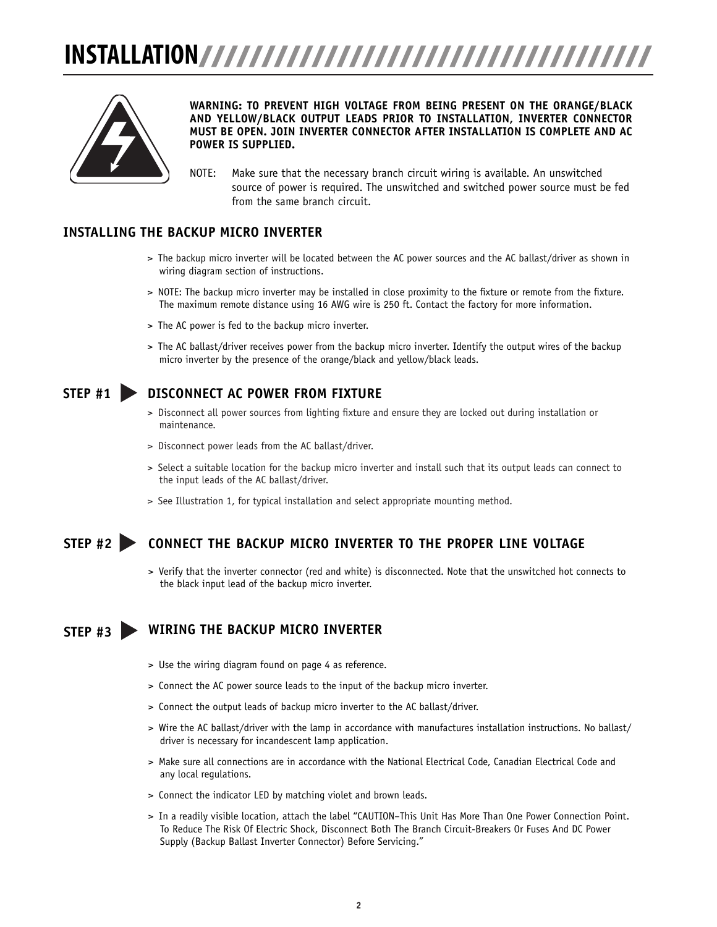# **INSTALLATION**



### **WARNING: TO PREVENT HIGH VOLTAGE FROM BEING PRESENT ON THE ORANGE/BLACK AND YELLOW/BLACK OUTPUT LEADS PRIOR TO INSTALLATION, INVERTER CONNECTOR MUST BE OPEN. JOIN INVERTER CONNECTOR AFTER INSTALLATION IS COMPLETE AND AC POWER IS SUPPLIED.**

NOTE: Make sure that the necessary branch circuit wiring is available. An unswitched source of power is required. The unswitched and switched power source must be fed from the same branch circuit.

### **INSTALLING THE BACKUP MICRO INVERTER**

- > The backup micro inverter will be located between the AC power sources and the AC ballast/driver as shown in wiring diagram section of instructions.
- > NOTE: The backup micro inverter may be installed in close proximity to the fixture or remote from the fixture. The maximum remote distance using 16 AWG wire is 250 ft. Contact the factory for more information.
- > The AC power is fed to the backup micro inverter.
- > The AC ballast/driver receives power from the backup micro inverter. Identify the output wires of the backup micro inverter by the presence of the orange/black and yellow/black leads.

### **STEP #1 DISCONNECT AC POWER FROM FIXTURE**

- > Disconnect all power sources from lighting fixture and ensure they are locked out during installation or maintenance.
- > Disconnect power leads from the AC ballast/driver.
- > Select a suitable location for the backup micro inverter and install such that its output leads can connect to the input leads of the AC ballast/driver.
- > See Illustration 1, for typical installation and select appropriate mounting method.

### **STEP #2 CONNECT THE BACKUP MICRO INVERTER TO THE PROPER LINE VOLTAGE**

> Verify that the inverter connector (red and white) is disconnected. Note that the unswitched hot connects to the black input lead of the backup micro inverter.

### **WIRING THE BACKUP MICRO INVERTER STEP #3**

- > Use the wiring diagram found on page 4 as reference.
- > Connect the AC power source leads to the input of the backup micro inverter.
- > Connect the output leads of backup micro inverter to the AC ballast/driver.
- > Wire the AC ballast/driver with the lamp in accordance with manufactures installation instructions. No ballast/ driver is necessary for incandescent lamp application.
- > Make sure all connections are in accordance with the National Electrical Code, Canadian Electrical Code and any local regulations.
- > Connect the indicator LED by matching violet and brown leads.
- > In a readily visible location, attach the label "CAUTION–This Unit Has More Than One Power Connection Point. To Reduce The Risk Of Electric Shock, Disconnect Both The Branch Circuit-Breakers Or Fuses And DC Power Supply (Backup Ballast Inverter Connector) Before Servicing."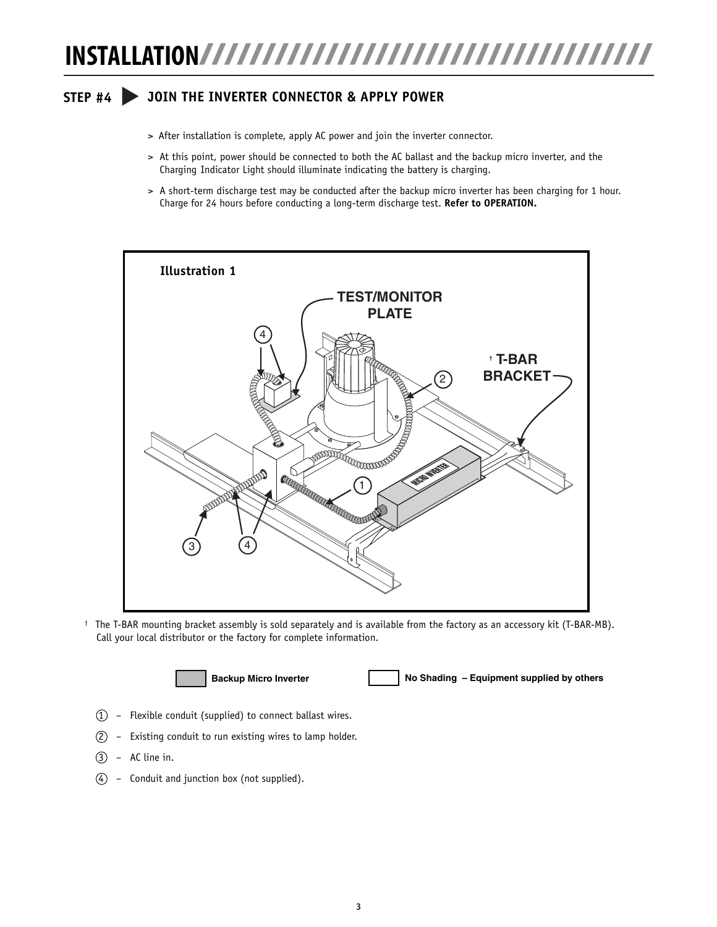# **INSTALLATION**

### **STEP #4 JOIN THE INVERTER CONNECTOR & APPLY POWER**

- > After installation is complete, apply AC power and join the inverter connector.
- > At this point, power should be connected to both the AC ballast and the backup micro inverter, and the Charging Indicator Light should illuminate indicating the battery is charging.
- > A short-term discharge test may be conducted after the backup micro inverter has been charging for 1 hour. Charge for 24 hours before conducting a long-term discharge test. **Refer to OPERATION.**



† The T-BAR mounting bracket assembly is sold separately and is available from the factory as an accessory kit (T-BAR-MB). Call your local distributor or the factory for complete information.



**Backup Micro Inverter No Shading – Equipment supplied by others**

- $(1)$  Flexible conduit (supplied) to connect ballast wires.
- 2 Existing conduit to run existing wires to lamp holder.
- $(3)$  AC line in.
- $\overline{4}$  Conduit and junction box (not supplied).